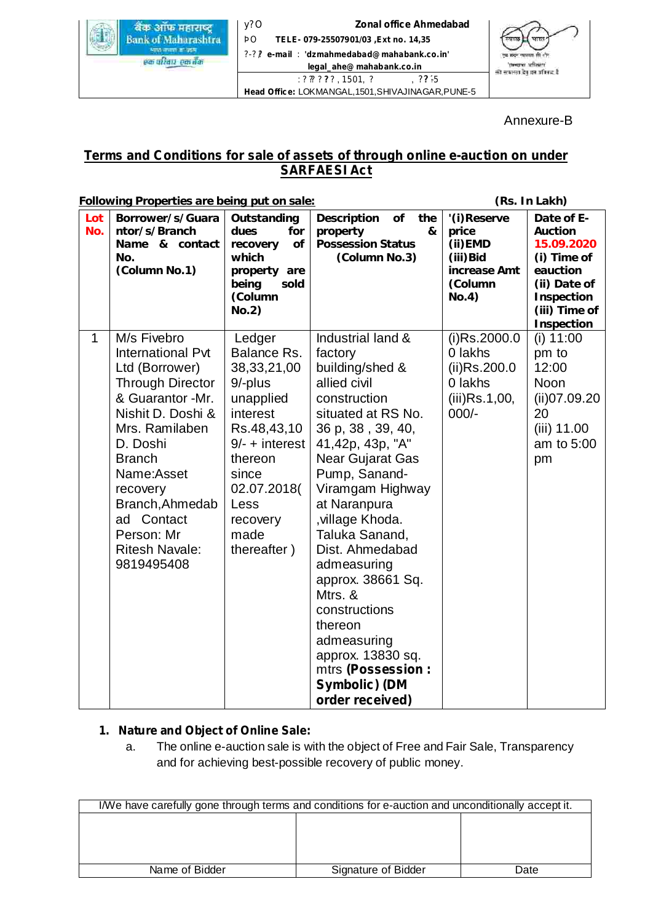

: ? ? ? ? ? , 1501, ?  $\cdot$  , ? ? ? ? . Head Office: LOKMANGAL, 1501, SHIVAJINAGAR, PUNE-5 y?O ÞO ?-??/ : **e-mail 'dzmahmedabad@mahabank.co.in' Zonal office Ahmedabad TELE- 079-25507901/03 ,Ext no. 14,35 legal\_ahe@mahabank.co.in**<br>??????, 1501, ?,,,,,,,,,,,,??



Annexure-B

# **Terms and Conditions for sale of assets of through online e-auction on under SARFAESI Act**

|              | Following Properties are being put on sale:                                                                                                                                                                                                                                           |                                                                                                                                                                                              |                                                                                                                                                                                                                                                                                                                                                                                                                                                          |                                                                                         | (Rs. In Lakh)                                                                                                               |
|--------------|---------------------------------------------------------------------------------------------------------------------------------------------------------------------------------------------------------------------------------------------------------------------------------------|----------------------------------------------------------------------------------------------------------------------------------------------------------------------------------------------|----------------------------------------------------------------------------------------------------------------------------------------------------------------------------------------------------------------------------------------------------------------------------------------------------------------------------------------------------------------------------------------------------------------------------------------------------------|-----------------------------------------------------------------------------------------|-----------------------------------------------------------------------------------------------------------------------------|
| Lot<br>No.   | Borrower/s/Guara<br>ntor/s/Branch<br>Name & contact<br>No.<br>(Column No.1)                                                                                                                                                                                                           | Outstanding<br>dues<br>for<br>of<br>recovery<br>which<br>property are<br>being<br>sold<br>(Column<br>No.2)                                                                                   | of<br>Description<br>the<br>property<br>&<br><b>Possession Status</b><br>(Column No.3)                                                                                                                                                                                                                                                                                                                                                                   | '(i) Reserve<br>price<br>$(ii)$ EMD<br>(iii) Bid<br>increase Amt<br>(Column<br>No.4)    | Date of E-<br>Auction<br>15.09.2020<br>(i) Time of<br>eauction<br>(ii) Date of<br>Inspection<br>(iii) Time of<br>Inspection |
| $\mathbf{1}$ | M/s Fivebro<br>International Pvt<br>Ltd (Borrower)<br><b>Through Director</b><br>& Guarantor -Mr.<br>Nishit D. Doshi &<br>Mrs. Ramilaben<br>D. Doshi<br><b>Branch</b><br>Name:Asset<br>recovery<br>Branch, Ahmedab<br>ad Contact<br>Person: Mr<br><b>Ritesh Navale:</b><br>9819495408 | Ledger<br>Balance Rs.<br>38, 33, 21, 00<br>9/-plus<br>unapplied<br>interest<br>Rs.48,43,10<br>$9/- +$ interest<br>thereon<br>since<br>02.07.2018(<br>Less<br>recovery<br>made<br>thereafter) | Industrial land &<br>factory<br>building/shed &<br>allied civil<br>construction<br>situated at RS No.<br>36 p, 38, 39, 40,<br>41,42p, 43p, "A"<br>Near Gujarat Gas<br>Pump, Sanand-<br>Viramgam Highway<br>at Naranpura<br>, village Khoda.<br>Taluka Sanand,<br>Dist. Ahmedabad<br>admeasuring<br>approx. 38661 Sq.<br>Mtrs. &<br>constructions<br>thereon<br>admeasuring<br>approx. 13830 sq.<br>mtrs (Possession:<br>Symbolic) (DM<br>order received) | $(i)$ Rs.2000.0<br>0 lakhs<br>$(ii)$ Rs.200.0<br>0 lakhs<br>$(iii)$ Rs.1,00,<br>$000/-$ | $(i)$ 11:00<br>pm to<br>12:00<br>Noon<br>(ii)07.09.20<br>20<br>$(iii)$ 11.00<br>am to 5:00<br>pm                            |

# **1. Nature and Object of Online Sale:**

a. The online e-auction sale is with the object of Free and Fair Sale, Transparency and for achieving best-possible recovery of public money.

| I/We have carefully gone through terms and conditions for e-auction and unconditionally accept it. |                     |      |
|----------------------------------------------------------------------------------------------------|---------------------|------|
|                                                                                                    |                     |      |
|                                                                                                    |                     |      |
|                                                                                                    |                     |      |
|                                                                                                    |                     |      |
| Name of Bidder                                                                                     | Signature of Bidder | Date |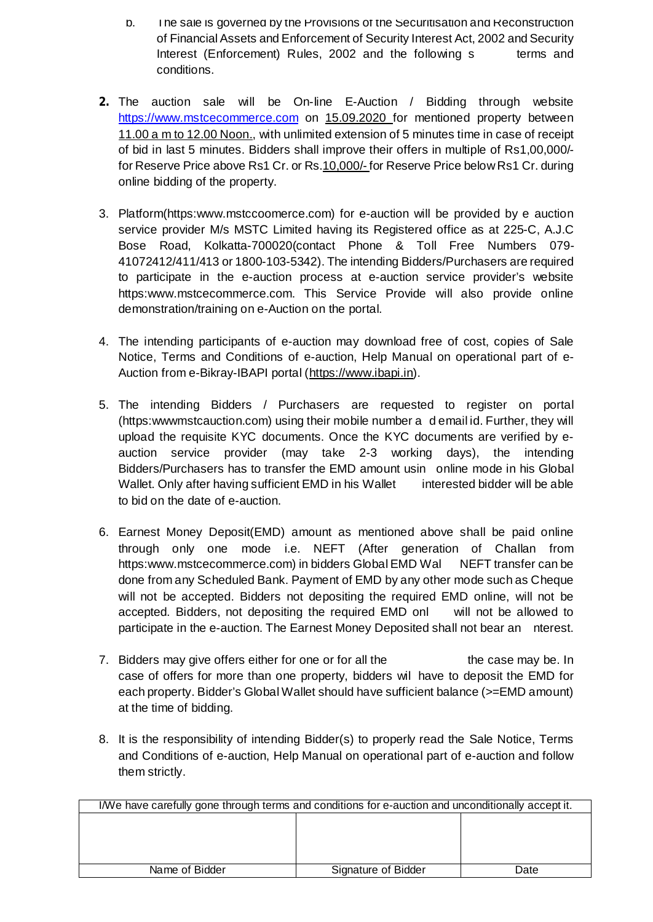- b. The sale is governed by the Provisions of the Securitisation and Reconstruction of Financial Assets and Enforcement of Security Interest Act, 2002 and Security Interest (Enforcement) Rules, 2002 and the following s terms and conditions.
- The auction sale will be On-line E-Auction / Bidding through website **2.**https://www.mstcecommerce.com on 15.09.2020 for mentioned property between 11.00 a m to 12.00 Noon., with unlimited extension of 5 minutes time in case of receipt of bid in last 5 minutes. Bidders shall improve their offers in multiple of Rs1,00,000/ for Reserve Price above Rs1 Cr. or Rs.10,000/- for Reserve Price below Rs1 Cr. during online bidding of the property.
- 3. Platform(https:www.mstccoomerce.com) for e-auction will be provided by e auction service provider M/s MSTC Limited having its Registered office as at 225-C, A.J.C Bose Road, Kolkatta-700020(contact Phone & Toll Free Numbers 079- 41072412/411/413 or 1800-103-5342). The intending Bidders/Purchasers are required to participate in the e-auction process at e-auction service provider's website https:www.mstcecommerce.com. This Service Provide will also provide online demonstration/training on e-Auction on the portal.
- 4. The intending participants of e-auction may download free of cost, copies of Sale Notice, Terms and Conditions of e-auction, Help Manual on operational part of e-Auction from e-Bikray-IBAPI portal (https://www.ibapi.in).
- 5. The intending Bidders / Purchasers are requested to register on portal (https:wwwmstcauction.com) using their mobile number a d email id. Further, they will upload the requisite KYC documents. Once the KYC documents are verified by eauction service provider (may take 2-3 working days), the intending Bidders/Purchasers has to transfer the EMD amount usin online mode in his Global Wallet. Only after having sufficient EMD in his Wallet interested bidder will be able to bid on the date of e-auction.
- 6. Earnest Money Deposit(EMD) amount as mentioned above shall be paid online through only one mode i.e. NEFT (After generation of Challan from https:www.mstcecommerce.com) in bidders Global EMD Wal NEFT transfer can be done from any Scheduled Bank. Payment of EMD by any other mode such as Cheque will not be accepted. Bidders not depositing the required EMD online, will not be accepted. Bidders, not depositing the required EMD onl will not be allowed to participate in the e-auction. The Earnest Money Deposited shall not bear an nterest.
- 7. Bidders may give offers either for one or for all the the case may be. In case of offers for more than one property, bidders wil have to deposit the EMD for each property. Bidder's Global Wallet should have sufficient balance (>=EMD amount) at the time of bidding.
- 8. It is the responsibility of intending Bidder(s) to properly read the Sale Notice, Terms and Conditions of e-auction, Help Manual on operational part of e-auction and follow them strictly.

| I/We have carefully gone through terms and conditions for e-auction and unconditionally accept it. |                     |      |
|----------------------------------------------------------------------------------------------------|---------------------|------|
|                                                                                                    |                     |      |
|                                                                                                    |                     |      |
|                                                                                                    |                     |      |
|                                                                                                    |                     |      |
| Name of Bidder                                                                                     | Signature of Bidder | Date |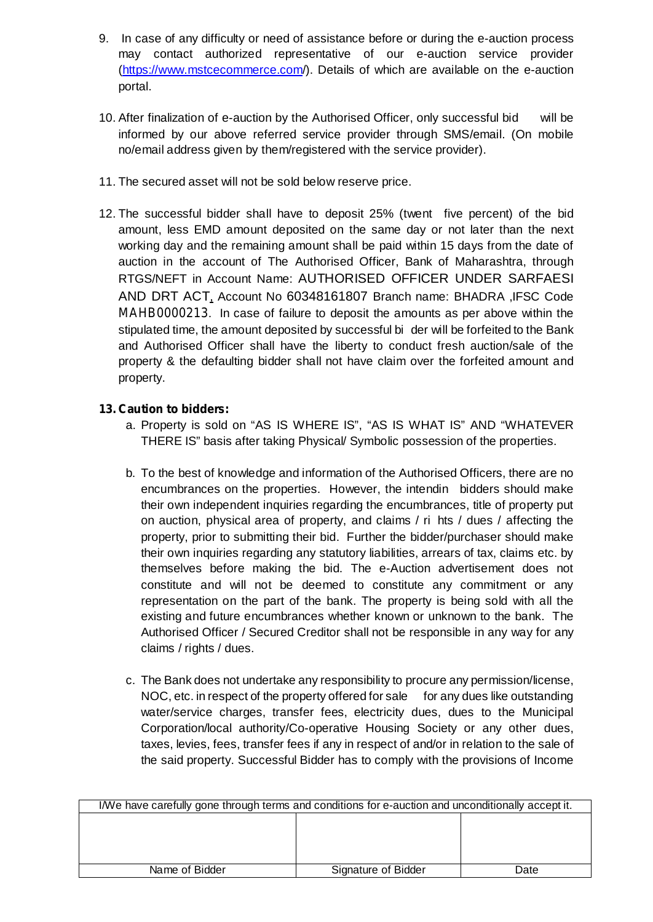- 9. In case of any difficulty or need of assistance before or during the e-auction process may contact authorized representative of our e-auction service provider (https://www.mstcecommerce.com/). Details of which are available on the e-auction portal.
- 10. After finalization of e-auction by the Authorised Officer, only successful bid will be informed by our above referred service provider through SMS/email. (On mobile no/email address given by them/registered with the service provider).
- 11. The secured asset will not be sold below reserve price.
- 12. The successful bidder shall have to deposit 25% (twent five percent) of the bid amount, less EMD amount deposited on the same day or not later than the next working day and the remaining amount shall be paid within 15 days from the date of auction in the account of The Authorised Officer, Bank of Maharashtra, through RTGS/NEFT in Account Name: AUTHORISED OFFICER UNDER SARFAESI AND DRT ACT, Account No 60348161807 Branch name: BHADRA ,IFSC Code MAHB0000213. In case of failure to deposit the amounts as per above within the stipulated time, the amount deposited by successful bi der will be forfeited to the Bank and Authorised Officer shall have the liberty to conduct fresh auction/sale of the property & the defaulting bidder shall not have claim over the forfeited amount and property.

## **13. Caution to bidders:**

- a. Property is sold on "AS IS WHERE IS", "AS IS WHAT IS" AND "WHATEVER THERE IS" basis after taking Physical/ Symbolic possession of the properties.
- b. To the best of knowledge and information of the Authorised Officers, there are no encumbrances on the properties. However, the intendin bidders should make their own independent inquiries regarding the encumbrances, title of property put on auction, physical area of property, and claims / ri hts / dues / affecting the property, prior to submitting their bid. Further the bidder/purchaser should make their own inquiries regarding any statutory liabilities, arrears of tax, claims etc. by themselves before making the bid. The e-Auction advertisement does not constitute and will not be deemed to constitute any commitment or any representation on the part of the bank. The property is being sold with all the existing and future encumbrances whether known or unknown to the bank. The Authorised Officer / Secured Creditor shall not be responsible in any way for any claims / rights / dues.
- c. The Bank does not undertake any responsibility to procure any permission/license, NOC, etc. in respect of the property offered for sale for any dues like outstanding water/service charges, transfer fees, electricity dues, dues to the Municipal Corporation/local authority/Co-operative Housing Society or any other dues, taxes, levies, fees, transfer fees if any in respect of and/or in relation to the sale of the said property. Successful Bidder has to comply with the provisions of Income

| I/We have carefully gone through terms and conditions for e-auction and unconditionally accept it. |                     |      |  |
|----------------------------------------------------------------------------------------------------|---------------------|------|--|
|                                                                                                    |                     |      |  |
|                                                                                                    |                     |      |  |
|                                                                                                    |                     |      |  |
|                                                                                                    |                     |      |  |
| Name of Bidder                                                                                     | Signature of Bidder | Date |  |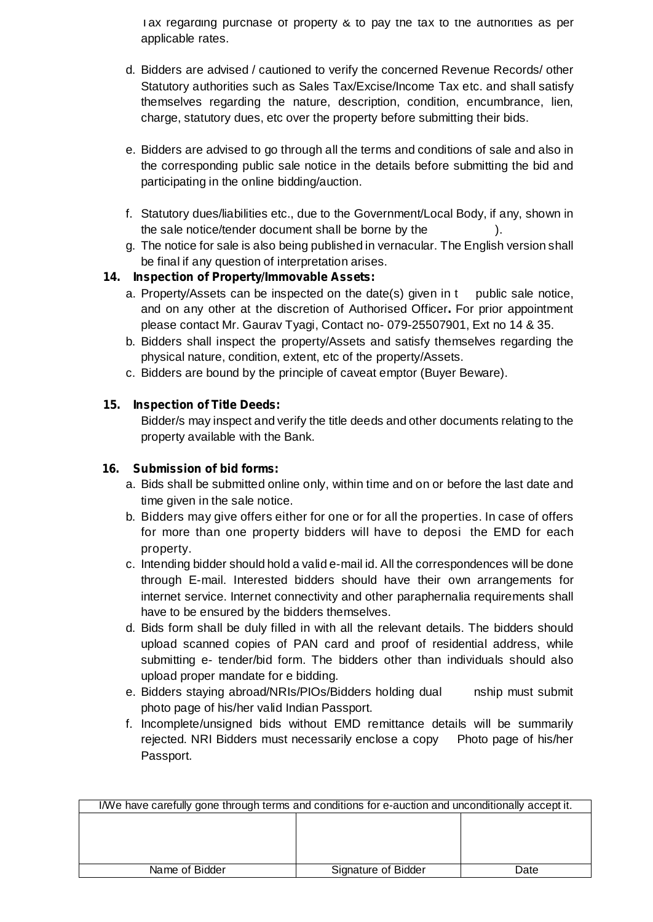Tax regarding purchase of property & to pay the tax to the authorities as per applicable rates.

- d. Bidders are advised / cautioned to verify the concerned Revenue Records/ other Statutory authorities such as Sales Tax/Excise/Income Tax etc. and shall satisfy themselves regarding the nature, description, condition, encumbrance, lien, charge, statutory dues, etc over the property before submitting their bids.
- e. Bidders are advised to go through all the terms and conditions of sale and also in the corresponding public sale notice in the details before submitting the bid and participating in the online bidding/auction.
- f. Statutory dues/liabilities etc., due to the Government/Local Body, if any, shown in the sale notice/tender document shall be borne by the ).
- g. The notice for sale is also being published in vernacular. The English version shall be final if any question of interpretation arises.

## **14. Inspection of Property/Immovable Assets:**

- a. Property/Assets can be inspected on the date(s) given in t public sale notice, and on any other at the discretion of Authorised Officer. For prior appointment please contact Mr. Gaurav Tyagi, Contact no- 079-25507901, Ext no 14 & 35.
- b. Bidders shall inspect the property/Assets and satisfy themselves regarding the physical nature, condition, extent, etc of the property/Assets.
- c. Bidders are bound by the principle of caveat emptor (Buyer Beware).

## **15. Inspection of Title Deeds:**

Bidder/s may inspect and verify the title deeds and other documents relating to the property available with the Bank.

## **16. Submission of bid forms:**

- a. Bids shall be submitted online only, within time and on or before the last date and time given in the sale notice.
- b. Bidders may give offers either for one or for all the properties. In case of offers for more than one property bidders will have to deposi the EMD for each property.
- c. Intending bidder should hold a valid e-mail id. All the correspondences will be done through E-mail. Interested bidders should have their own arrangements for internet service. Internet connectivity and other paraphernalia requirements shall have to be ensured by the bidders themselves.
- d. Bids form shall be duly filled in with all the relevant details. The bidders should upload scanned copies of PAN card and proof of residential address, while submitting e- tender/bid form. The bidders other than individuals should also upload proper mandate for e bidding.
- e. Bidders staying abroad/NRIs/PIOs/Bidders holding dual nship must submit photo page of his/her valid Indian Passport.
- f. Incomplete/unsigned bids without EMD remittance details will be summarily rejected. NRI Bidders must necessarily enclose a copy Photo page of his/her Passport.

| I/We have carefully gone through terms and conditions for e-auction and unconditionally accept it. |                     |      |
|----------------------------------------------------------------------------------------------------|---------------------|------|
|                                                                                                    |                     |      |
|                                                                                                    |                     |      |
|                                                                                                    |                     |      |
|                                                                                                    |                     |      |
| Name of Bidder                                                                                     | Signature of Bidder | Date |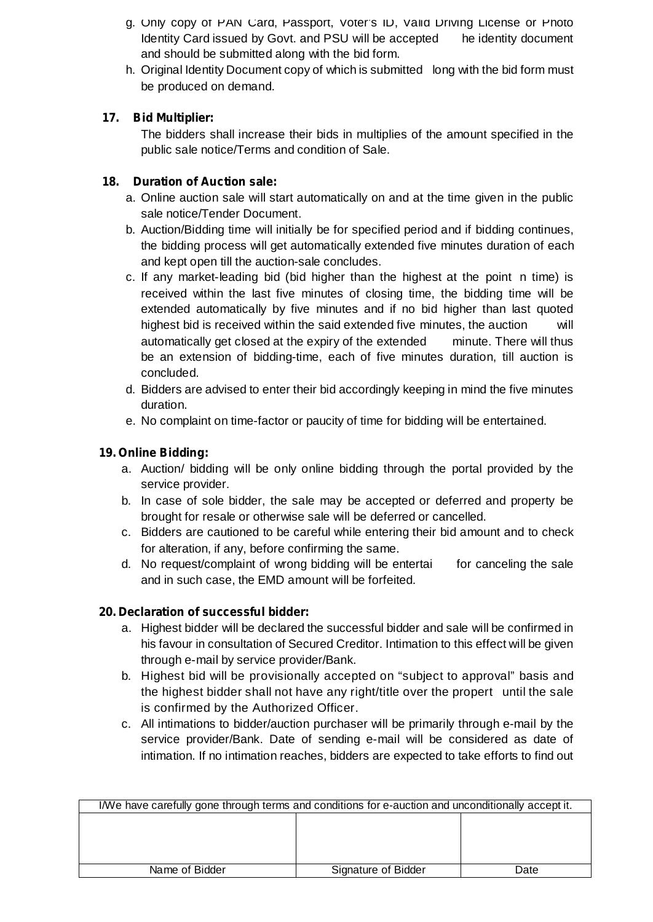- g. Only copy of PAN Card, Passport, Voter's ID, Valid Driving License or Photo Identity Card issued by Govt. and PSU will be accepted he identity document and should be submitted along with the bid form.
- h. Original Identity Document copy of which is submitted long with the bid form must be produced on demand.

# **17. Bid Multiplier:**

The bidders shall increase their bids in multiplies of the amount specified in the public sale notice/Terms and condition of Sale.

# **18. Duration of Auction sale:**

- a. Online auction sale will start automatically on and at the time given in the public sale notice/Tender Document.
- b. Auction/Bidding time will initially be for specified period and if bidding continues, the bidding process will get automatically extended five minutes duration of each and kept open till the auction-sale concludes.
- c. If any market-leading bid (bid higher than the highest at the point n time) is received within the last five minutes of closing time, the bidding time will be extended automatically by five minutes and if no bid higher than last quoted highest bid is received within the said extended five minutes, the auction will automatically get closed at the expiry of the extended minute. There will thus be an extension of bidding-time, each of five minutes duration, till auction is concluded.
- d. Bidders are advised to enter their bid accordingly keeping in mind the five minutes duration.
- e. No complaint on time-factor or paucity of time for bidding will be entertained.

# **19. Online Bidding:**

- a. Auction/ bidding will be only online bidding through the portal provided by the service provider.
- b. In case of sole bidder, the sale may be accepted or deferred and property be brought for resale or otherwise sale will be deferred or cancelled.
- c. Bidders are cautioned to be careful while entering their bid amount and to check for alteration, if any, before confirming the same.
- d. No request/complaint of wrong bidding will be entertai for canceling the sale and in such case, the EMD amount will be forfeited.

# **20. Declaration of successful bidder:**

- a. Highest bidder will be declared the successful bidder and sale will be confirmed in his favour in consultation of Secured Creditor. Intimation to this effect will be given through e-mail by service provider/Bank.
- b. Highest bid will be provisionally accepted on "subject to approval" basis and the highest bidder shall not have any right/title over the propert until the sale is confirmed by the Authorized Officer.
- c. All intimations to bidder/auction purchaser will be primarily through e-mail by the service provider/Bank. Date of sending e-mail will be considered as date of intimation. If no intimation reaches, bidders are expected to take efforts to find out

| I/We have carefully gone through terms and conditions for e-auction and unconditionally accept it. |                     |      |
|----------------------------------------------------------------------------------------------------|---------------------|------|
|                                                                                                    |                     |      |
|                                                                                                    |                     |      |
|                                                                                                    |                     |      |
|                                                                                                    |                     |      |
| Name of Bidder                                                                                     | Signature of Bidder | Date |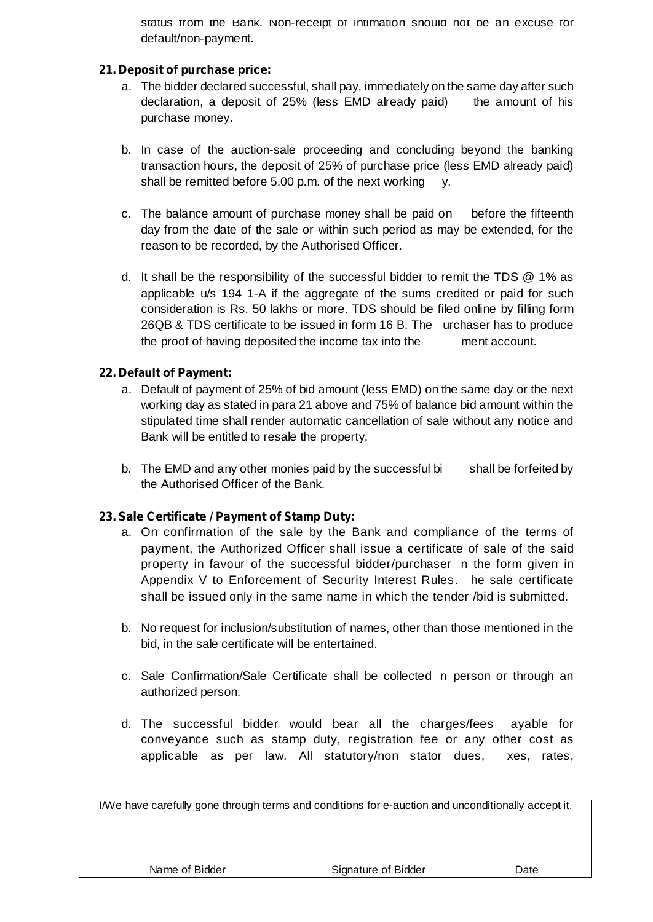status from the Bank. Non-receipt of intimation should not be an excuse for default/non-payment.

#### **21. Deposit of purchase price:**

- a. The bidder declared successful, shall pay, immediately on the same day after such declaration, a deposit of 25% (less EMD already paid) the amount of his purchase money.
- b. In case of the auction-sale proceeding and concluding beyond the banking transaction hours, the deposit of 25% of purchase price (less EMD already paid) shall be remitted before 5.00 p.m. of the next working y.
- c. The balance amount of purchase money shall be paid on before the fifteenth day from the date of the sale or within such period as may be extended, for the reason to be recorded, by the Authorised Officer.
- d. It shall be the responsibility of the successful bidder to remit the TDS @ 1% as applicable u/s 194 1-A if the aggregate of the sums credited or paid for such consideration is Rs. 50 lakhs or more. TDS should be filed online by filling form 26QB & TDS certificate to be issued in form 16 B. The urchaser has to produce the proof of having deposited the income tax into the ment account.

## **22. Default of Payment:**

- a. Default of payment of 25% of bid amount (less EMD) on the same day or the next working day as stated in para 21 above and 75% of balance bid amount within the stipulated time shall render automatic cancellation of sale without any notice and Bank will be entitled to resale the property.
- b. The EMD and any other monies paid by the successful bi shall be forfeited by the Authorised Officer of the Bank.

## **23. Sale Certificate / Payment of Stamp Duty:**

- a. On confirmation of the sale by the Bank and compliance of the terms of payment, the Authorized Officer shall issue a certificate of sale of the said property in favour of the successful bidder/purchaser n the form given in Appendix V to Enforcement of Security Interest Rules. he sale certificate shall be issued only in the same name in which the tender /bid is submitted.
- b. No request for inclusion/substitution of names, other than those mentioned in the bid, in the sale certificate will be entertained.
- c. Sale Confirmation/Sale Certificate shall be collected n person or through an authorized person.
- d. The successful bidder would bear all the charges/fees ayable for conveyance such as stamp duty, registration fee or any other cost as applicable as per law. All statutory/non stator dues, xes, rates,

| I/We have carefully gone through terms and conditions for e-auction and unconditionally accept it. |                     |      |
|----------------------------------------------------------------------------------------------------|---------------------|------|
|                                                                                                    |                     |      |
|                                                                                                    |                     |      |
|                                                                                                    |                     |      |
|                                                                                                    |                     |      |
| Name of Bidder                                                                                     | Signature of Bidder | Date |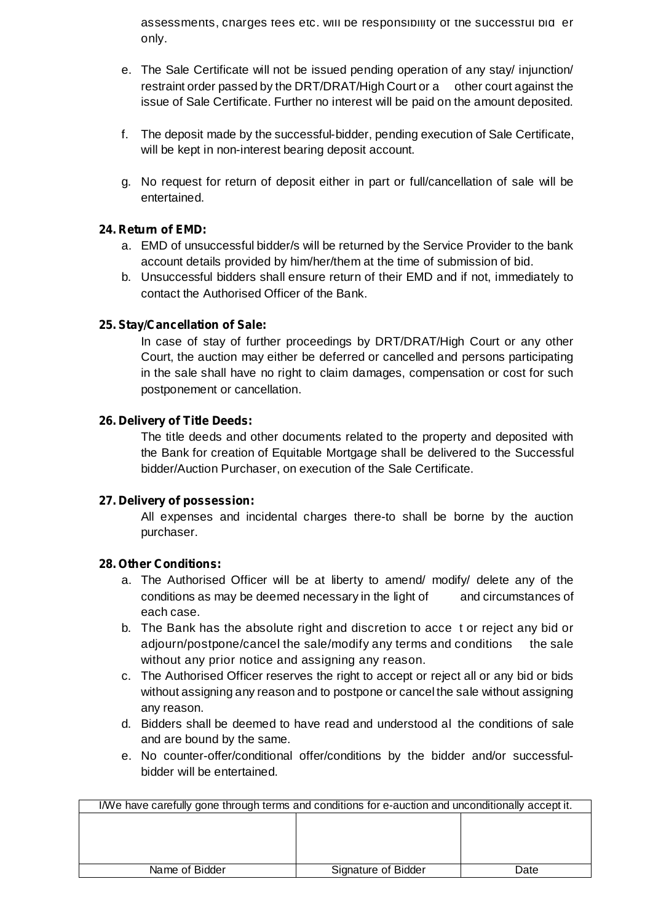assessments, charges fees etc. will be responsibility of the successful bid er only.

- e. The Sale Certificate will not be issued pending operation of any stay/ injunction/ restraint order passed by the DRT/DRAT/High Court or a other court against the issue of Sale Certificate. Further no interest will be paid on the amount deposited.
- f. The deposit made by the successful-bidder, pending execution of Sale Certificate, will be kept in non-interest bearing deposit account.
- g. No request for return of deposit either in part or full/cancellation of sale will be entertained.

#### **24. Return of EMD:**

- a. EMD of unsuccessful bidder/s will be returned by the Service Provider to the bank account details provided by him/her/them at the time of submission of bid.
- b. Unsuccessful bidders shall ensure return of their EMD and if not, immediately to contact the Authorised Officer of the Bank.

## **25. Stay/Cancellation of Sale:**

In case of stay of further proceedings by DRT/DRAT/High Court or any other Court, the auction may either be deferred or cancelled and persons participating in the sale shall have no right to claim damages, compensation or cost for such postponement or cancellation.

#### **26. Delivery of Title Deeds:**

The title deeds and other documents related to the property and deposited with the Bank for creation of Equitable Mortgage shall be delivered to the Successful bidder/Auction Purchaser, on execution of the Sale Certificate.

#### **27. Delivery of possession:**

All expenses and incidental charges there-to shall be borne by the auction purchaser.

#### **28. Other Conditions:**

- a. The Authorised Officer will be at liberty to amend/ modify/ delete any of the conditions as may be deemed necessary in the light of and circumstances of each case.
- b. The Bank has the absolute right and discretion to acce t or reject any bid or adjourn/postpone/cancel the sale/modify any terms and conditions the sale without any prior notice and assigning any reason.
- c. The Authorised Officer reserves the right to accept or reject all or any bid or bids without assigning any reason and to postpone or cancel the sale without assigning any reason.
- d. Bidders shall be deemed to have read and understood al the conditions of sale and are bound by the same.
- e. No counter-offer/conditional offer/conditions by the bidder and/or successfulbidder will be entertained.

| I/We have carefully gone through terms and conditions for e-auction and unconditionally accept it. |                     |      |
|----------------------------------------------------------------------------------------------------|---------------------|------|
|                                                                                                    |                     |      |
|                                                                                                    |                     |      |
|                                                                                                    |                     |      |
|                                                                                                    |                     |      |
| Name of Bidder                                                                                     | Signature of Bidder | Date |